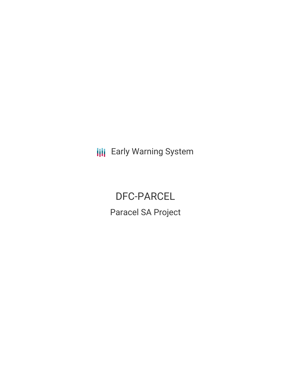**III** Early Warning System

DFC-PARCEL Paracel SA Project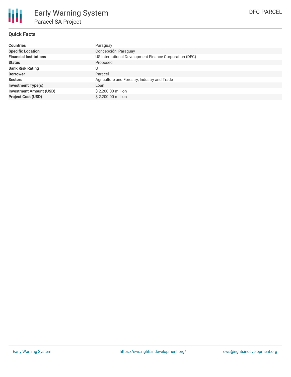

### **Quick Facts**

| <b>Countries</b>               | Paraguay                                               |
|--------------------------------|--------------------------------------------------------|
| <b>Specific Location</b>       | Concepción, Paraguay                                   |
| <b>Financial Institutions</b>  | US International Development Finance Corporation (DFC) |
| <b>Status</b>                  | Proposed                                               |
| <b>Bank Risk Rating</b>        |                                                        |
| <b>Borrower</b>                | Paracel                                                |
| <b>Sectors</b>                 | Agriculture and Forestry, Industry and Trade           |
| <b>Investment Type(s)</b>      | Loan                                                   |
| <b>Investment Amount (USD)</b> | \$2,200.00 million                                     |
| <b>Project Cost (USD)</b>      | \$2,200,00 million                                     |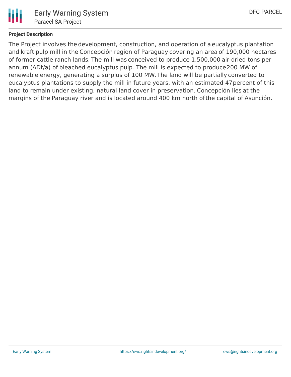

# **Project Description**

The Project involves the development, construction, and operation of a eucalyptus plantation and kraft pulp mill in the Concepción region of Paraguay covering an area of 190,000 hectares of former cattle ranch lands. The mill was conceived to produce 1,500,000 air-dried tons per annum (ADt/a) of bleached eucalyptus pulp. The mill is expected to produce200 MW of renewable energy, generating a surplus of 100 MW.The land will be partially converted to eucalyptus plantations to supply the mill in future years, with an estimated 47percent of this land to remain under existing, natural land cover in preservation. Concepción lies at the margins of the Paraguay river and is located around 400 km north ofthe capital of Asunción.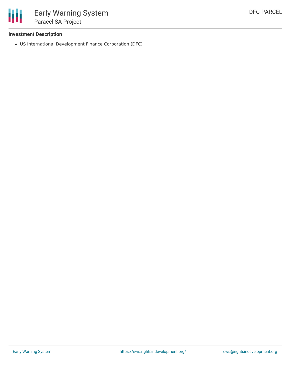

#### **Investment Description**

US International Development Finance Corporation (DFC)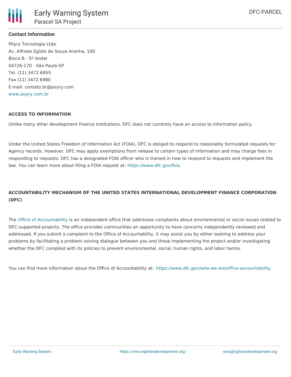

### **Contact Information**

Pöyry Tecnologia Ltda. Av. Alfredo Egídio de Souza Aranha, 100 Bloco B - 5º Andar 04726-170 - São Paulo-SP Tel. (11) 3472 6955 Fax (11) 3472 6980 E-mail: contato.br@poyry.com [www.poyry.com.br](http://www.poyry.com.br)

#### **ACCESS TO INFORMATION**

Unlike many other development finance institutions, DFC does not currently have an access to information policy.

Under the United States Freedom of Information Act (FOIA), DFC is obliged to respond to reasonably formulated requests for Agency records. However, DFC may apply exemptions from release to certain types of information and may charge fees in responding to requests. DFC has a designated FOIA officer who is trained in how to respond to requests and implement the law. You can learn more about filing a FOIA request at: <https://www.dfc.gov/foia>.

# **ACCOUNTABILITY MECHANISM OF THE UNITED STATES INTERNATIONAL DEVELOPMENT FINANCE CORPORATION (DFC)**

The Office of [Accountability](https://www.dfc.gov/who-we-are/office-accountability) is an independent office that addresses complaints about environmental or social issues related to DFC-supported projects. The office provides communities an opportunity to have concerns independently reviewed and addressed. If you submit a complaint to the Office of Accountability, it may assist you by either seeking to address your problems by facilitating a problem solving dialogue between you and those implementing the project and/or investigating whether the DFC complied with its policies to prevent environmental, social, human rights, and labor harms.

You can find more information about the Office of Accountability at: <https://www.dfc.gov/who-we-are/office-accountability>.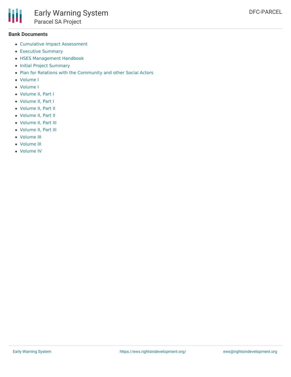#### **Bank Documents**

Ш

- Cumulative Impact [Assessment](https://www3.dfc.gov/environment/eia/parcel/CIA.pdf)
- [Executive](https://www3.dfc.gov/environment/eia/parcel/Executive_Summary.pdf) Summary
- HSES [Management](https://www3.dfc.gov/environment/eia/parcel/HSES_Management_Handbook.pdf) Handbook
- Initial Project [Summary](https://www3.dfc.gov/environment/eia/parcel/Initial_Project_Summary.pdf)
- Plan for Relations with the [Community](https://www3.dfc.gov/environment/eia/parcel/Community_Relations.pdf) and other Social Actors
- [Volume](https://www3.dfc.gov/environment/eia/parcel/Mill/Volume_I_Project Characterization.pdf) I
- [Volume](https://www3.dfc.gov/environment/eia/parcel/Plantation/Volume_I_Description_of_Project.pdf) I
- [Volume](https://www3.dfc.gov/environment/eia/parcel/Mill/Volume_II_Book_I_Baseline_Physical.pdf) II, Part I
- [Volume](https://www3.dfc.gov/environment/eia/parcel/Plantation/Volume_II_Book_I_Baseline_Physical.pdf) II, Part I
- [Volume](https://www3.dfc.gov/environment/eia/parcel/Mill/Volume_II_Book_II_Biotic_Environment.pdf) II, Part II
- [Volume](https://www3.dfc.gov/environment/eia/parcel/Plantation/Volume_II_Book_II_Baseline_Biotic.pdf) II, Part II
- [Volume](https://www3.dfc.gov/environment/eia/parcel/Mill/Volume_II_Book_III_Baseline_Socio_Economic.pdf) II, Part III
- [Volume](https://www3.dfc.gov/environment/eia/parcel/Plantation/Volume_II_Book_III_Baseline_Socio_Econ.pdf) II, Part III
- [Volume](https://www3.dfc.gov/environment/eia/parcel/Mill/Volume_III_Environment_Impacts_Assessment.pdf) III
- [Volume](https://www3.dfc.gov/environment/eia/parcel/Plantation/Volume_III_Impact_Identification.pdf) III
- [Volume](https://www3.dfc.gov/environment/eia/parcel/Mill/Volume_IV_Complementary_Studies.pdf) IV